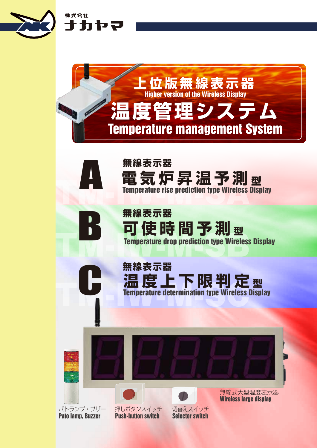

株式会社

ナカヤマ

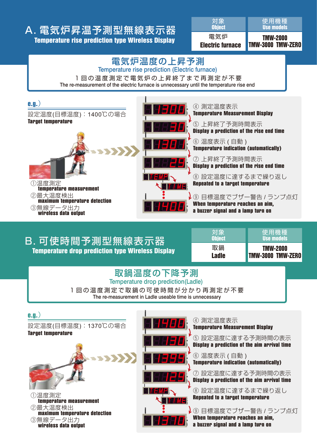## A. 電気炉昇温予測型無線表示器 Temperature rise prediction type Wireless Display

| 電気炉                     | <b>TMW-2000</b>   |
|-------------------------|-------------------|
| <b>Electric furnace</b> | TMW-3000 TMW-ZERO |
| 、対象                     | 使用機種              |
| <b>Object</b>           | <b>Use models</b> |

## 電気炉温度の上昇予測 Temperature rise prediction (Electric furnace)

1回の温度測定で電気炉の上昇終了まで再測定が不要 The re-measurement of the electric furnace is unnecessary until the temperature rise end



# B. 可使時間予測型無線表示器

Temperature drop prediction type Wireless Display

| 取鍋            | <b>TMW-2000</b>          |
|---------------|--------------------------|
| <b>Ladle</b>  | <b>TMW-3000 TMW-ZERO</b> |
| 対象            | 使用機種                     |
| <b>Object</b> | <b>Use models</b>        |

## Temperature drop prediction(Ladle) 取鍋温度の下降予測

1回の温度測定で取鍋の可使時間が分かり再測定が不要 The re-measurement in Ladle useable time is unnecessary





④ 測定温度表示 Temperature Measurement Display

⑤ 設定温度に達する予測時間の表示 Display a prediction of the aim arrival time

⑥ 温度表示 ( 自動 ) Temperature indication (automatically)

⑦ 設定温度に達する予測時間の表示 Display a prediction of the aim arrival time

⑧ 設定温度に達するまで繰り返し Repeated to a target temperature

▶ ⑨ 目標温度でブザー警告 / ランプ点灯 When temperature reaches an aim, a buzzer signal and a lamp turn on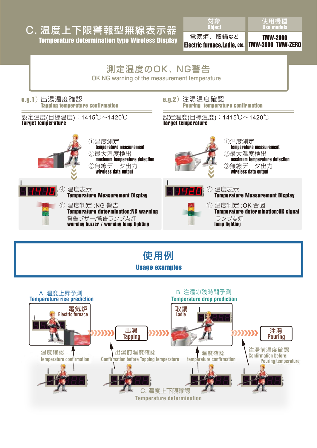## Temperature determination type Wireless Display C. 温度上下限警報型無線表示器

対象 **Object** 

電気炉、取鍋など Electric furnace,Ladle, etc. Use models 使用機種

TMW-2000 TMW-3000 TMW-ZERO



Usage examples 使用例